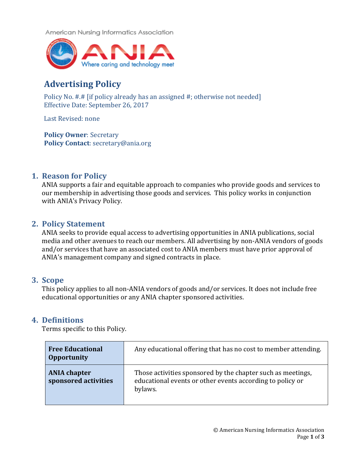American Nursing Informatics Association



# **Advertising Policy**

Policy No. #.# [if policy already has an assigned #; otherwise not needed] Effective Date: September 26, 2017

Last Revised: none

**Policy Owner: Secretary Policy Contact**: secretary@ania.org

# **1. Reason for Policy**

ANIA supports a fair and equitable approach to companies who provide goods and services to our membership in advertising those goods and services. This policy works in conjunction with ANIA's Privacy Policy.

# **2. Policy Statement**

ANIA seeks to provide equal access to advertising opportunities in ANIA publications, social media and other avenues to reach our members. All advertising by non-ANIA vendors of goods and/or services that have an associated cost to ANIA members must have prior approval of ANIA's management company and signed contracts in place.

#### **3. Scope**

This policy applies to all non-ANIA vendors of goods and/or services. It does not include free educational opportunities or any ANIA chapter sponsored activities.

# **4. Definitions**

Terms specific to this Policy.

| <b>Free Educational</b><br><b>Opportunity</b> | Any educational offering that has no cost to member attending.                                                                      |
|-----------------------------------------------|-------------------------------------------------------------------------------------------------------------------------------------|
| <b>ANIA chapter</b><br>sponsored activities   | Those activities sponsored by the chapter such as meetings,<br>educational events or other events according to policy or<br>bylaws. |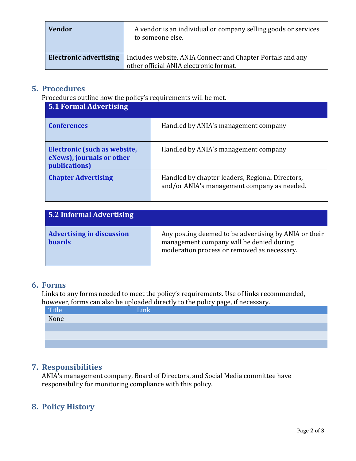| <b>Vendor</b>                 | A vendor is an individual or company selling goods or services<br>to someone else. |  |
|-------------------------------|------------------------------------------------------------------------------------|--|
| <b>Electronic advertising</b> | Includes website, ANIA Connect and Chapter Portals and any                         |  |
|                               | other official ANIA electronic format.                                             |  |

#### **5. Procedures**

Procedures outline how the policy's requirements will be met.

| 5.1 Formal Advertising                                                     |                                                                                                |  |
|----------------------------------------------------------------------------|------------------------------------------------------------------------------------------------|--|
| <b>Conferences</b>                                                         | Handled by ANIA's management company                                                           |  |
| Electronic (such as website,<br>eNews), journals or other<br>publications) | Handled by ANIA's management company                                                           |  |
| <b>Chapter Advertising</b>                                                 | Handled by chapter leaders, Regional Directors,<br>and/or ANIA's management company as needed. |  |

| 5.2 Informal Advertising                          |                                                                                                                                                  |  |
|---------------------------------------------------|--------------------------------------------------------------------------------------------------------------------------------------------------|--|
| <b>Advertising in discussion</b><br><b>boards</b> | Any posting deemed to be advertising by ANIA or their<br>management company will be denied during<br>moderation process or removed as necessary. |  |

#### **6. Forms**

Links to any forms needed to meet the policy's requirements. Use of links recommended, however, forms can also be uploaded directly to the policy page, if necessary.

| Title<br>None | $\blacksquare$<br>Link |
|---------------|------------------------|
|               |                        |
|               |                        |
|               |                        |
|               |                        |

# **7. Responsibilities**

ANIA's management company, Board of Directors, and Social Media committee have responsibility for monitoring compliance with this policy.

# **8. Policy History**